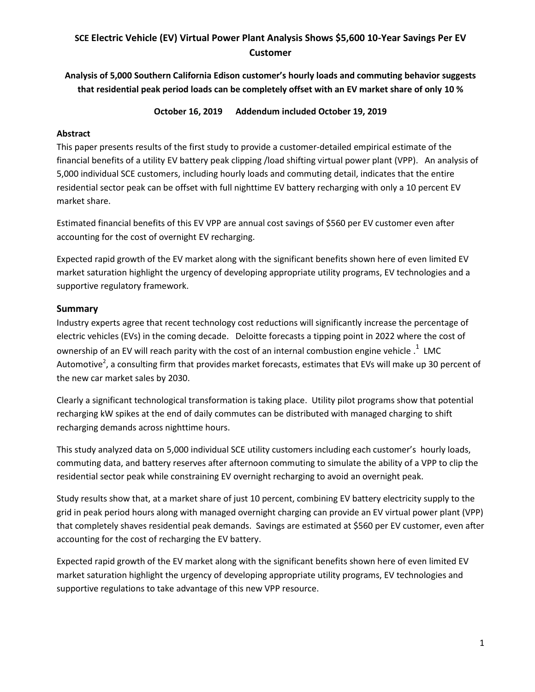# **SCE Electric Vehicle (EV) Virtual Power Plant Analysis Shows \$5,600 10-Year Savings Per EV Customer**

**Analysis of 5,000 Southern California Edison customer's hourly loads and commuting behavior suggests that residential peak period loads can be completely offset with an EV market share of only 10 %** 

**October 16, 2019 Addendum included October 19, 2019**

#### **Abstract**

This paper presents results of the first study to provide a customer-detailed empirical estimate of the financial benefits of a utility EV battery peak clipping /load shifting virtual power plant (VPP). An analysis of 5,000 individual SCE customers, including hourly loads and commuting detail, indicates that the entire residential sector peak can be offset with full nighttime EV battery recharging with only a 10 percent EV market share.

Estimated financial benefits of this EV VPP are annual cost savings of \$560 per EV customer even after accounting for the cost of overnight EV recharging.

Expected rapid growth of the EV market along with the significant benefits shown here of even limited EV market saturation highlight the urgency of developing appropriate utility programs, EV technologies and a supportive regulatory framework.

### **Summary**

Industry experts agree that recent technology cost reductions will significantly increase the percentage of electric vehicles (EVs) in the coming decade. Deloitte forecasts a tipping point in 2022 where the cost of ownership of an EV will reach parity with the cost of an internal combustion engine vehicle  $.1\,$  LMC Automotive<sup>2</sup>, a consulting firm that provides market forecasts, estimates that EVs will make up 30 percent of the new car market sales by 2030.

Clearly a significant technological transformation is taking place. Utility pilot programs show that potential recharging kW spikes at the end of daily commutes can be distributed with managed charging to shift recharging demands across nighttime hours.

This study analyzed data on 5,000 individual SCE utility customers including each customer's hourly loads, commuting data, and battery reserves after afternoon commuting to simulate the ability of a VPP to clip the residential sector peak while constraining EV overnight recharging to avoid an overnight peak.

Study results show that, at a market share of just 10 percent, combining EV battery electricity supply to the grid in peak period hours along with managed overnight charging can provide an EV virtual power plant (VPP) that completely shaves residential peak demands. Savings are estimated at \$560 per EV customer, even after accounting for the cost of recharging the EV battery.

Expected rapid growth of the EV market along with the significant benefits shown here of even limited EV market saturation highlight the urgency of developing appropriate utility programs, EV technologies and supportive regulations to take advantage of this new VPP resource.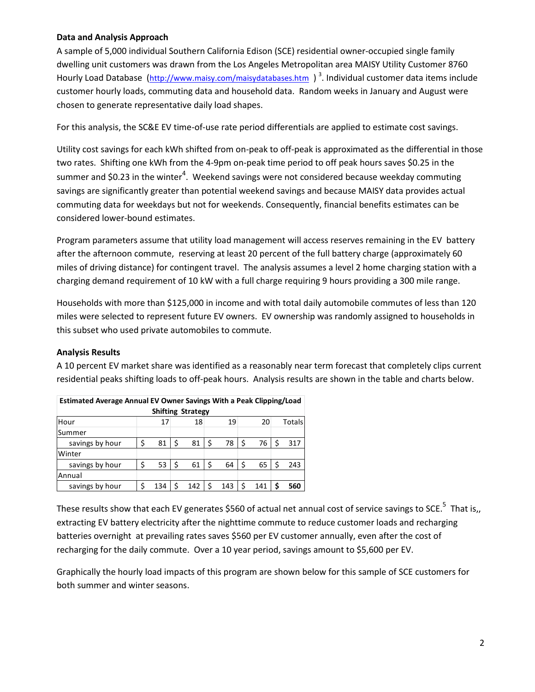#### **Data and Analysis Approach**

A sample of 5,000 individual Southern California Edison (SCE) residential owner-occupied single family dwelling unit customers was drawn from the Los Angeles Metropolitan area MAISY Utility Customer 8760 Hourly Load Database (<http://www.maisy.com/maisydatabases.htm> )<sup>3</sup>. Individual customer data items include customer hourly loads, commuting data and household data. Random weeks in January and August were chosen to generate representative daily load shapes.

For this analysis, the SC&E EV time-of-use rate period differentials are applied to estimate cost savings.

Utility cost savings for each kWh shifted from on-peak to off-peak is approximated as the differential in those two rates. Shifting one kWh from the 4-9pm on-peak time period to off peak hours saves \$0.25 in the summer and \$0.23 in the winter<sup>4</sup>. Weekend savings were not considered because weekday commuting savings are significantly greater than potential weekend savings and because MAISY data provides actual commuting data for weekdays but not for weekends. Consequently, financial benefits estimates can be considered lower-bound estimates.

Program parameters assume that utility load management will access reserves remaining in the EV battery after the afternoon commute, reserving at least 20 percent of the full battery charge (approximately 60 miles of driving distance) for contingent travel. The analysis assumes a level 2 home charging station with a charging demand requirement of 10 kW with a full charge requiring 9 hours providing a 300 mile range.

Households with more than \$125,000 in income and with total daily automobile commutes of less than 120 miles were selected to represent future EV owners. EV ownership was randomly assigned to households in this subset who used private automobiles to commute.

### **Analysis Results**

A 10 percent EV market share was identified as a reasonably near term forecast that completely clips current residential peaks shifting loads to off-peak hours. Analysis results are shown in the table and charts below.

| Estimated Average Annual EV Owner Savings With a Peak Clipping/Load |    |     |     |     |     |     |    |     |  |        |  |  |
|---------------------------------------------------------------------|----|-----|-----|-----|-----|-----|----|-----|--|--------|--|--|
| <b>Shifting Strategy</b>                                            |    |     |     |     |     |     |    |     |  |        |  |  |
| Hour                                                                |    | 17  |     | 18  |     | 19  |    | 20  |  | Totals |  |  |
| Summer                                                              |    |     |     |     |     |     |    |     |  |        |  |  |
| savings by hour                                                     | \$ | 81  | -\$ | 81  | -\$ | 78  | \$ | 76  |  | 317    |  |  |
| Winter                                                              |    |     |     |     |     |     |    |     |  |        |  |  |
| savings by hour                                                     | \$ | 53  | -\$ | 61  | \$  | 64  | \$ | 65  |  | 243    |  |  |
| Annual                                                              |    |     |     |     |     |     |    |     |  |        |  |  |
| savings by hour                                                     | Ś  | 134 |     | 142 | Ś   | 143 |    | 141 |  | 560    |  |  |

| Estimated Average Annual EV Owner Savings With a Peak Clipping/Load |  |    |    |    |        |  |  |  |  |  |  |
|---------------------------------------------------------------------|--|----|----|----|--------|--|--|--|--|--|--|
| <b>Shifting Strategy</b>                                            |  |    |    |    |        |  |  |  |  |  |  |
| Hour                                                                |  | 18 | 19 | 20 | Totals |  |  |  |  |  |  |
|                                                                     |  |    |    |    |        |  |  |  |  |  |  |

These results show that each EV generates \$560 of actual net annual cost of service savings to SCE.<sup>5</sup> That is,, extracting EV battery electricity after the nighttime commute to reduce customer loads and recharging batteries overnight at prevailing rates saves \$560 per EV customer annually, even after the cost of recharging for the daily commute. Over a 10 year period, savings amount to \$5,600 per EV.

Graphically the hourly load impacts of this program are shown below for this sample of SCE customers for both summer and winter seasons.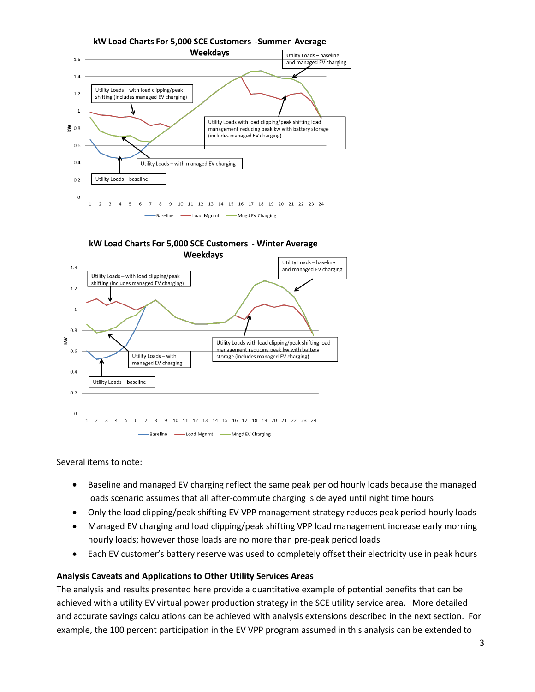

kW Load Charts For 5,000 SCE Customers - Winter Average **Weekdays** 



Several items to note:

- Baseline and managed EV charging reflect the same peak period hourly loads because the managed loads scenario assumes that all after-commute charging is delayed until night time hours
- Only the load clipping/peak shifting EV VPP management strategy reduces peak period hourly loads
- Managed EV charging and load clipping/peak shifting VPP load management increase early morning hourly loads; however those loads are no more than pre-peak period loads
- Each EV customer's battery reserve was used to completely offset their electricity use in peak hours

#### **Analysis Caveats and Applications to Other Utility Services Areas**

The analysis and results presented here provide a quantitative example of potential benefits that can be achieved with a utility EV virtual power production strategy in the SCE utility service area. More detailed and accurate savings calculations can be achieved with analysis extensions described in the next section. For example, the 100 percent participation in the EV VPP program assumed in this analysis can be extended to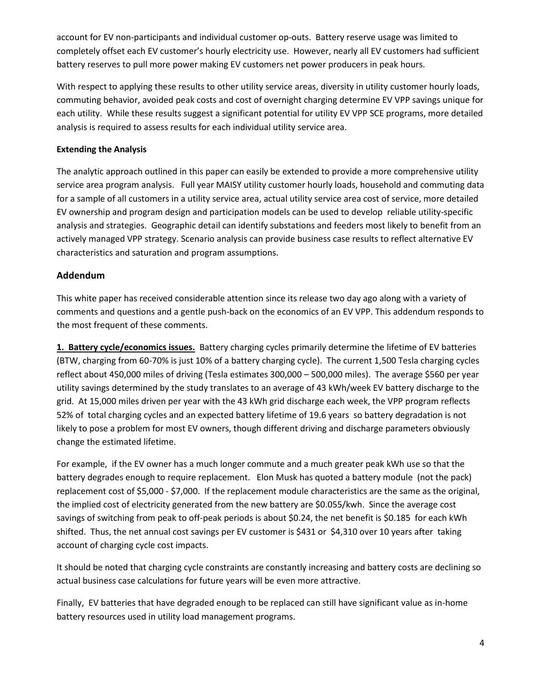account for EV non-participants and individual customer op-outs. Battery reserve usage was limited to completely offset each EV customer's hourly electricity use. However, nearly all EV customers had sufficient battery reserves to pull more power making EV customers net power producers in peak hours.

With respect to applying these results to other utility service areas, diversity in utility customer hourly loads, commuting behavior, avoided peak costs and cost of overnight charging determine EV VPP savings unique for each utility. While these results suggest a significant potential for utility EV VPP SCE programs, more detailed analysis is required to assess results for each individual utility service area.

## **Extending the Analysis**

The analytic approach outlined in this paper can easily be extended to provide a more comprehensive utility service area program analysis. Full year MAISY utility customer hourly loads, household and commuting data for a sample of all customers in a utility service area, actual utility service area cost of service, more detailed EV ownership and program design and participation models can be used to develop reliable utility-specific analysis and strategies. Geographic detail can identify substations and feeders most likely to benefit from an actively managed VPP strategy. Scenario analysis can provide business case results to reflect alternative EV characteristics and saturation and program assumptions.

# **Addendum**

This white paper has received considerable attention since its release two day ago along with a variety of comments and questions and a gentle push-back on the economics of an EV VPP. This addendum responds to the most frequent of these comments.

**1. Battery cycle/economics issues.** Battery charging cycles primarily determine the lifetime of EV batteries (BTW, charging from 60-70% is just 10% of a battery charging cycle). The current 1,500 Tesla charging cycles reflect about 450,000 miles of driving (Tesla estimates 300,000 – 500,000 miles). The average \$560 per year utility savings determined by the study translates to an average of 43 kWh/week EV battery discharge to the grid. At 15,000 miles driven per year with the 43 kWh grid discharge each week, the VPP program reflects 52% of total charging cycles and an expected battery lifetime of 19.6 years so battery degradation is not likely to pose a problem for most EV owners, though different driving and discharge parameters obviously change the estimated lifetime.

For example, if the EV owner has a much longer commute and a much greater peak kWh use so that the battery degrades enough to require replacement. Elon Musk has quoted a battery module (not the pack) replacement cost of \$5,000 - \$7,000. If the replacement module characteristics are the same as the original, the implied cost of electricity generated from the new battery are \$0.055/kwh. Since the average cost savings of switching from peak to off-peak periods is about \$0.24, the net benefit is \$0.185 for each kWh shifted. Thus, the net annual cost savings per EV customer is \$431 or \$4,310 over 10 years after taking account of charging cycle cost impacts.

It should be noted that charging cycle constraints are constantly increasing and battery costs are declining so actual business case calculations for future years will be even more attractive.

Finally, EV batteries that have degraded enough to be replaced can still have significant value as in-home battery resources used in utility load management programs.